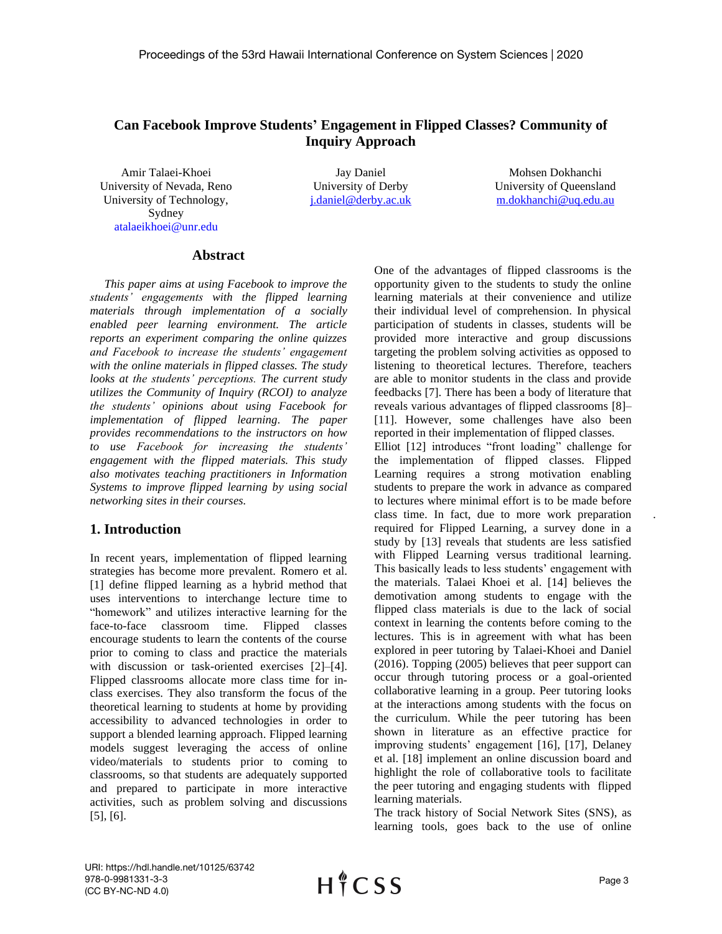# **Can Facebook Improve Students' Engagement in Flipped Classes? Community of Inquiry Approach**

Amir Talaei-Khoei University of Nevada, Reno University of Technology, Sydney [atalaeikhoei@unr.edu](mailto:atalaeikhoei@unr.edu)

Jay Daniel University of Derby [j.daniel@derby.ac.uk](mailto:j.daniel@derby.ac.uk)

Mohsen Dokhanchi University of Queensland [m.dokhanchi@uq.edu.au](mailto:m.dokhanchi@uq.edu.au)

#### **Abstract**

*This paper aims at using Facebook to improve the students' engagements with the flipped learning materials through implementation of a socially enabled peer learning environment. The article reports an experiment comparing the online quizzes and Facebook to increase the students' engagement with the online materials in flipped classes. The study looks at the students' perceptions. The current study utilizes the Community of Inquiry (RCOI) to analyze the students' opinions about using Facebook for implementation of flipped learning. The paper provides recommendations to the instructors on how to use Facebook for increasing the students' engagement with the flipped materials. This study also motivates teaching practitioners in Information Systems to improve flipped learning by using social networking sites in their courses.*

#### **1. Introduction**

In recent years, implementation of flipped learning strategies has become more prevalent. Romero et al. [1] define flipped learning as a hybrid method that uses interventions to interchange lecture time to "homework" and utilizes interactive learning for the face-to-face classroom time. Flipped classes encourage students to learn the contents of the course prior to coming to class and practice the materials with discussion or task-oriented exercises [2]–[4]. Flipped classrooms allocate more class time for inclass exercises. They also transform the focus of the theoretical learning to students at home by providing accessibility to advanced technologies in order to support a blended learning approach. Flipped learning models suggest leveraging the access of online video/materials to students prior to coming to classrooms, so that students are adequately supported and prepared to participate in more interactive activities, such as problem solving and discussions [5], [6].

One of the advantages of flipped classrooms is the opportunity given to the students to study the online learning materials at their convenience and utilize their individual level of comprehension. In physical participation of students in classes, students will be provided more interactive and group discussions targeting the problem solving activities as opposed to listening to theoretical lectures. Therefore, teachers are able to monitor students in the class and provide feedbacks [7]. There has been a body of literature that reveals various advantages of flipped classrooms [8]– [11]. However, some challenges have also been reported in their implementation of flipped classes. Elliot [12] introduces "front loading" challenge for the implementation of flipped classes. Flipped Learning requires a strong motivation enabling students to prepare the work in advance as compared to lectures where minimal effort is to be made before class time. In fact, due to more work preparation required for Flipped Learning, a survey done in a study by [13] reveals that students are less satisfied with Flipped Learning versus traditional learning. This basically leads to less students' engagement with the materials. Talaei Khoei et al. [14] believes the demotivation among students to engage with the flipped class materials is due to the lack of social context in learning the contents before coming to the lectures. This is in agreement with what has been explored in peer tutoring by Talaei-Khoei and Daniel (2016). Topping (2005) believes that peer support can occur through tutoring process or a goal-oriented collaborative learning in a group. Peer tutoring looks at the interactions among students with the focus on the curriculum. While the peer tutoring has been shown in literature as an effective practice for improving students' engagement [16], [17], Delaney et al. [18] implement an online discussion board and highlight the role of collaborative tools to facilitate the peer tutoring and engaging students with flipped learning materials.

The track history of Social Network Sites (SNS), as learning tools, goes back to the use of online

URI: https://hdl.handle.net/10125/63742 978-0-9981331-3-3 (CC BY-NC-ND 4.0)

*.*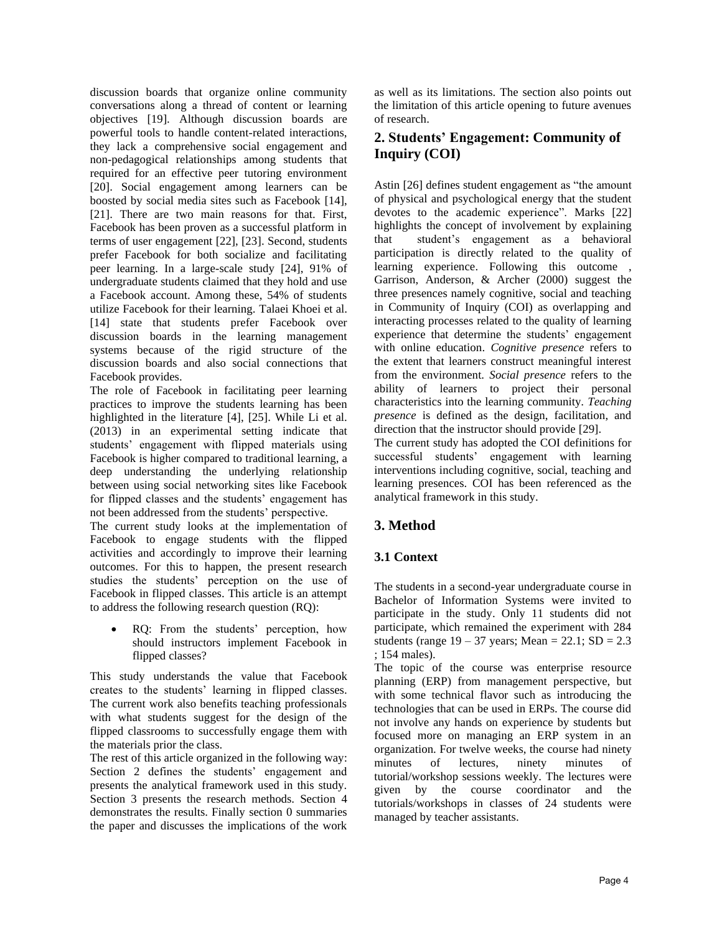discussion boards that organize online community conversations along a thread of content or learning objectives [19]. Although discussion boards are powerful tools to handle content-related interactions, they lack a comprehensive social engagement and non-pedagogical relationships among students that required for an effective peer tutoring environment [20]. Social engagement among learners can be boosted by social media sites such as Facebook [14], [21]. There are two main reasons for that. First, Facebook has been proven as a successful platform in terms of user engagement [22], [23]. Second, students prefer Facebook for both socialize and facilitating peer learning. In a large-scale study [24], 91% of undergraduate students claimed that they hold and use a Facebook account. Among these, 54% of students utilize Facebook for their learning. Talaei Khoei et al. [14] state that students prefer Facebook over discussion boards in the learning management systems because of the rigid structure of the discussion boards and also social connections that Facebook provides.

The role of Facebook in facilitating peer learning practices to improve the students learning has been highlighted in the literature [4], [25]. While Li et al. (2013) in an experimental setting indicate that students' engagement with flipped materials using Facebook is higher compared to traditional learning, a deep understanding the underlying relationship between using social networking sites like Facebook for flipped classes and the students' engagement has not been addressed from the students' perspective.

The current study looks at the implementation of Facebook to engage students with the flipped activities and accordingly to improve their learning outcomes. For this to happen, the present research studies the students' perception on the use of Facebook in flipped classes. This article is an attempt to address the following research question (RQ):

• RQ: From the students' perception, how should instructors implement Facebook in flipped classes?

This study understands the value that Facebook creates to the students' learning in flipped classes. The current work also benefits teaching professionals with what students suggest for the design of the flipped classrooms to successfully engage them with the materials prior the class.

The rest of this article organized in the following way: Section 2 defines the students' engagement and presents the analytical framework used in this study. Section 3 presents the research methods. Section 4 demonstrates the results. Finally section [0](#page-4-0) summaries the paper and discusses the implications of the work

as well as its limitations. The section also points out the limitation of this article opening to future avenues of research.

# **2. Students' Engagement: Community of Inquiry (COI)**

Astin [26] defines student engagement as "the amount of physical and psychological energy that the student devotes to the academic experience". Marks [22] highlights the concept of involvement by explaining that student's engagement as a behavioral participation is directly related to the quality of learning experience. Following this outcome , Garrison, Anderson, & Archer (2000) suggest the three presences namely cognitive, social and teaching in Community of Inquiry (COI) as overlapping and interacting processes related to the quality of learning experience that determine the students' engagement with online education. *Cognitive presence* refers to the extent that learners construct meaningful interest from the environment. *Social presence* refers to the ability of learners to project their personal characteristics into the learning community*. Teaching presence* is defined as the design, facilitation, and direction that the instructor should provide [29].

The current study has adopted the COI definitions for successful students' engagement with learning interventions including cognitive, social, teaching and learning presences. COI has been referenced as the analytical framework in this study.

# **3. Method**

# **3.1 Context**

The students in a second-year undergraduate course in Bachelor of Information Systems were invited to participate in the study. Only 11 students did not participate, which remained the experiment with 284 students (range  $19 - 37$  years; Mean = 22.1; SD = 2.3 ; 154 males).

The topic of the course was enterprise resource planning (ERP) from management perspective, but with some technical flavor such as introducing the technologies that can be used in ERPs. The course did not involve any hands on experience by students but focused more on managing an ERP system in an organization. For twelve weeks, the course had ninety minutes of lectures, ninety minutes of tutorial/workshop sessions weekly. The lectures were given by the course coordinator and the tutorials/workshops in classes of 24 students were managed by teacher assistants.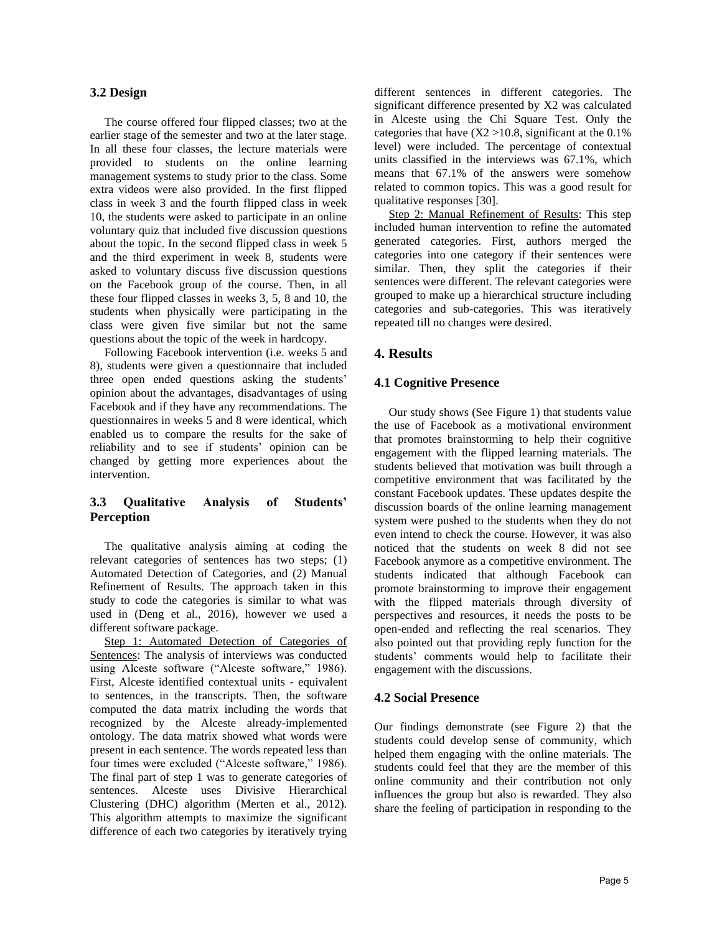#### **3.2 Design**

The course offered four flipped classes; two at the earlier stage of the semester and two at the later stage. In all these four classes, the lecture materials were provided to students on the online learning management systems to study prior to the class. Some extra videos were also provided. In the first flipped class in week 3 and the fourth flipped class in week 10, the students were asked to participate in an online voluntary quiz that included five discussion questions about the topic. In the second flipped class in week 5 and the third experiment in week 8, students were asked to voluntary discuss five discussion questions on the Facebook group of the course. Then, in all these four flipped classes in weeks 3, 5, 8 and 10, the students when physically were participating in the class were given five similar but not the same questions about the topic of the week in hardcopy.

Following Facebook intervention (i.e. weeks 5 and 8), students were given a questionnaire that included three open ended questions asking the students' opinion about the advantages, disadvantages of using Facebook and if they have any recommendations. The questionnaires in weeks 5 and 8 were identical, which enabled us to compare the results for the sake of reliability and to see if students' opinion can be changed by getting more experiences about the intervention.

### **3.3 Qualitative Analysis of Students' Perception**

The qualitative analysis aiming at coding the relevant categories of sentences has two steps; (1) Automated Detection of Categories, and (2) Manual Refinement of Results. The approach taken in this study to code the categories is similar to what was used in (Deng et al., 2016), however we used a different software package.

Step 1: Automated Detection of Categories of Sentences: The analysis of interviews was conducted using Alceste software ("Alceste software," 1986). First, Alceste identified contextual units - equivalent to sentences, in the transcripts. Then, the software computed the data matrix including the words that recognized by the Alceste already-implemented ontology. The data matrix showed what words were present in each sentence. The words repeated less than four times were excluded ("Alceste software," 1986). The final part of step 1 was to generate categories of sentences. Alceste uses Divisive Hierarchical Clustering (DHC) algorithm (Merten et al., 2012). This algorithm attempts to maximize the significant difference of each two categories by iteratively trying different sentences in different categories. The significant difference presented by X2 was calculated in Alceste using the Chi Square Test. Only the categories that have  $(X2 > 10.8$ , significant at the 0.1% level) were included. The percentage of contextual units classified in the interviews was 67.1%, which means that 67.1% of the answers were somehow related to common topics. This was a good result for qualitative responses [30].

Step 2: Manual Refinement of Results: This step included human intervention to refine the automated generated categories. First, authors merged the categories into one category if their sentences were similar. Then, they split the categories if their sentences were different. The relevant categories were grouped to make up a hierarchical structure including categories and sub-categories. This was iteratively repeated till no changes were desired.

### **4. Results**

#### **4.1 Cognitive Presence**

Our study shows (See [Figure 1\)](#page-3-0) that students value the use of Facebook as a motivational environment that promotes brainstorming to help their cognitive engagement with the flipped learning materials. The students believed that motivation was built through a competitive environment that was facilitated by the constant Facebook updates. These updates despite the discussion boards of the online learning management system were pushed to the students when they do not even intend to check the course. However, it was also noticed that the students on week 8 did not see Facebook anymore as a competitive environment. The students indicated that although Facebook can promote brainstorming to improve their engagement with the flipped materials through diversity of perspectives and resources, it needs the posts to be open-ended and reflecting the real scenarios. They also pointed out that providing reply function for the students' comments would help to facilitate their engagement with the discussions.

#### **4.2 Social Presence**

Our findings demonstrate (see [Figure 2\)](#page-3-1) that the students could develop sense of community, which helped them engaging with the online materials. The students could feel that they are the member of this online community and their contribution not only influences the group but also is rewarded. They also share the feeling of participation in responding to the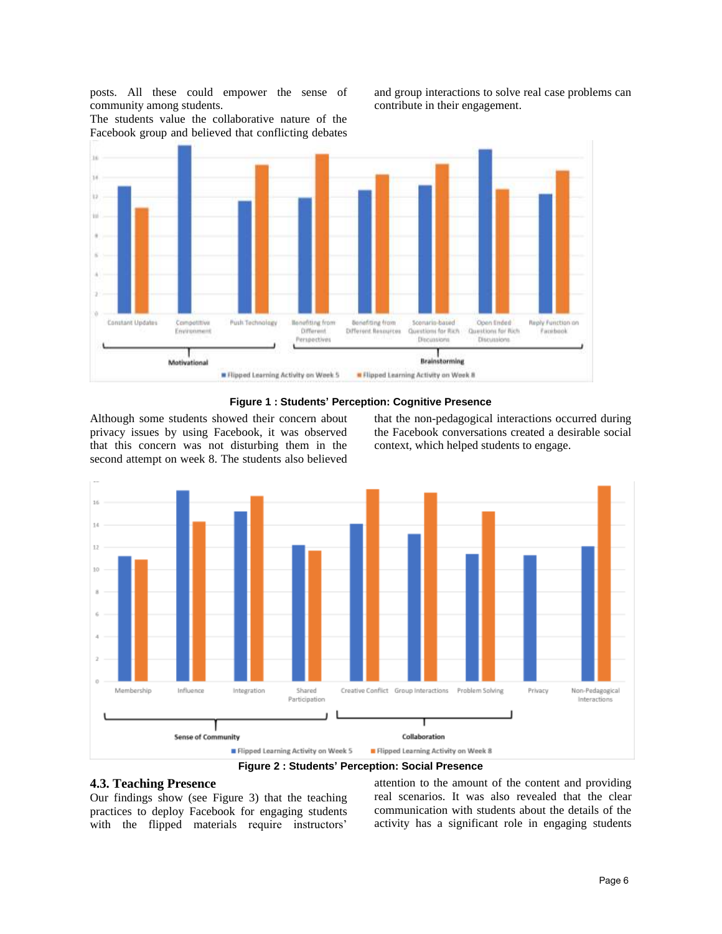posts. All these could empower the sense of community among students.

and group interactions to solve real case problems can contribute in their engagement.

The students value the collaborative nature of the Facebook group and believed that conflicting debates





<span id="page-3-0"></span>Although some students showed their concern about privacy issues by using Facebook, it was observed that this concern was not disturbing them in the second attempt on week 8. The students also believed

that the non-pedagogical interactions occurred during the Facebook conversations created a desirable social context, which helped students to engage.



**Figure 2 : Students' Perception: Social Presence**

### <span id="page-3-1"></span>**4.3. Teaching Presence**

Our findings show (see [Figure 3\)](#page-4-1) that the teaching practices to deploy Facebook for engaging students with the flipped materials require instructors'

attention to the amount of the content and providing real scenarios. It was also revealed that the clear communication with students about the details of the activity has a significant role in engaging students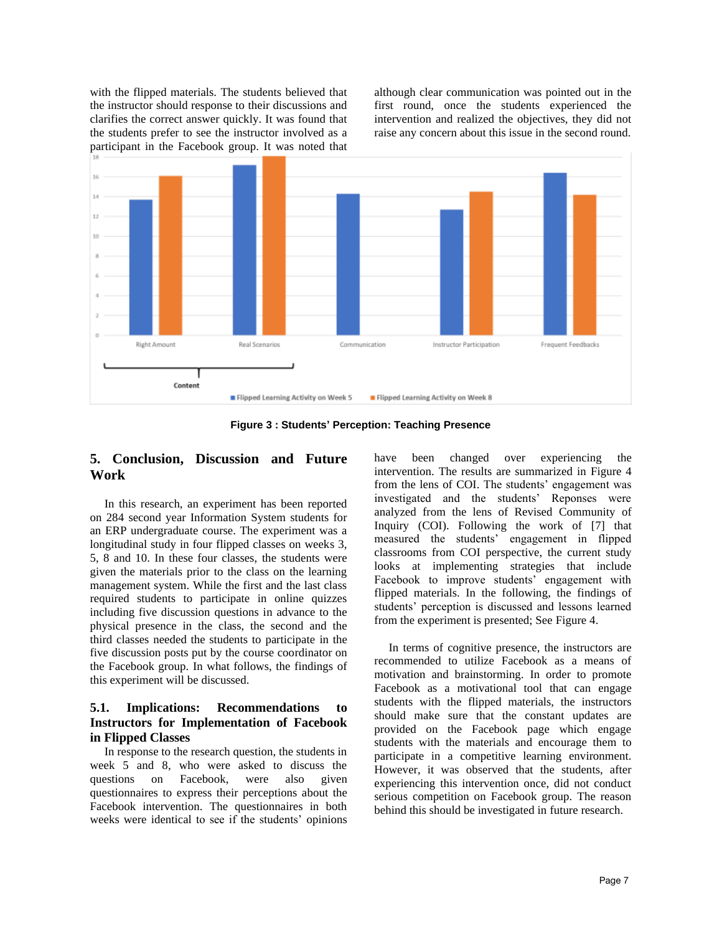with the flipped materials. The students believed that the instructor should response to their discussions and clarifies the correct answer quickly. It was found that the students prefer to see the instructor involved as a participant in the Facebook group. It was noted that although clear communication was pointed out in the first round, once the students experienced the intervention and realized the objectives, they did not raise any concern about this issue in the second round.



**Figure 3 : Students' Perception: Teaching Presence**

# <span id="page-4-1"></span><span id="page-4-0"></span>**5. Conclusion, Discussion and Future Work**

In this research, an experiment has been reported on 284 second year Information System students for an ERP undergraduate course. The experiment was a longitudinal study in four flipped classes on weeks 3, 5, 8 and 10. In these four classes, the students were given the materials prior to the class on the learning management system. While the first and the last class required students to participate in online quizzes including five discussion questions in advance to the physical presence in the class, the second and the third classes needed the students to participate in the five discussion posts put by the course coordinator on the Facebook group. In what follows, the findings of this experiment will be discussed.

## **5.1. Implications: Recommendations to Instructors for Implementation of Facebook in Flipped Classes**

In response to the research question, the students in week 5 and 8, who were asked to discuss the questions on Facebook, were also given questionnaires to express their perceptions about the Facebook intervention. The questionnaires in both weeks were identical to see if the students' opinions

have been changed over experiencing the intervention. The results are summarized in [Figure 4](#page-5-0) from the lens of COI. The students' engagement was investigated and the students' Reponses were analyzed from the lens of Revised Community of Inquiry (COI). Following the work of [7] that measured the students' engagement in flipped classrooms from COI perspective, the current study looks at implementing strategies that include Facebook to improve students' engagement with flipped materials. In the following, the findings of students' perception is discussed and lessons learned from the experiment is presented; See [Figure 4.](#page-5-0)

In terms of cognitive presence, the instructors are recommended to utilize Facebook as a means of motivation and brainstorming. In order to promote Facebook as a motivational tool that can engage students with the flipped materials, the instructors should make sure that the constant updates are provided on the Facebook page which engage students with the materials and encourage them to participate in a competitive learning environment. However, it was observed that the students, after experiencing this intervention once, did not conduct serious competition on Facebook group. The reason behind this should be investigated in future research.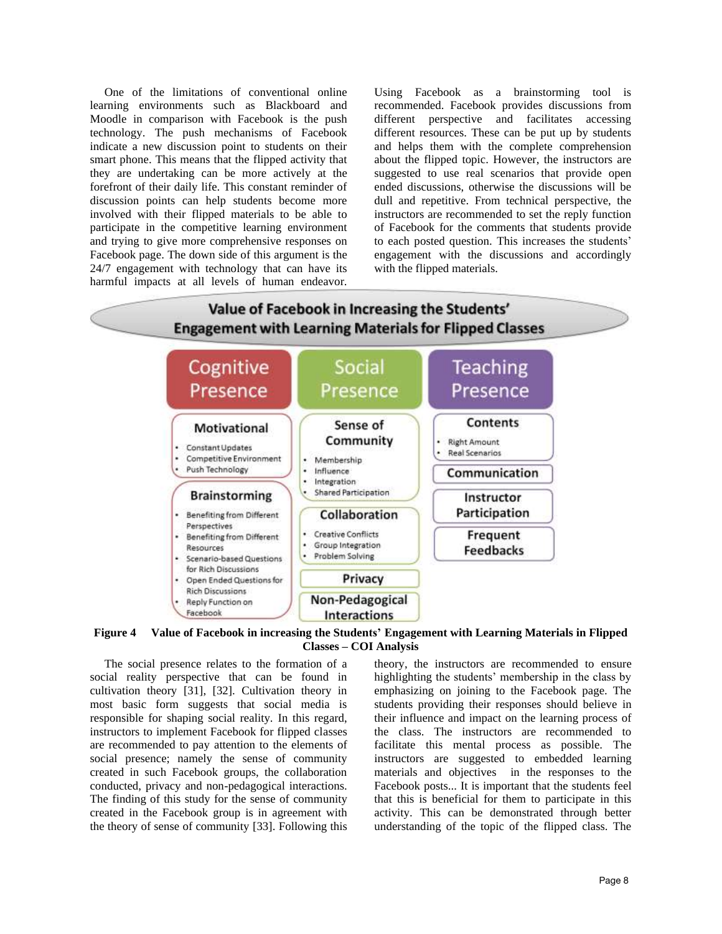One of the limitations of conventional online learning environments such as Blackboard and Moodle in comparison with Facebook is the push technology. The push mechanisms of Facebook indicate a new discussion point to students on their smart phone. This means that the flipped activity that they are undertaking can be more actively at the forefront of their daily life. This constant reminder of discussion points can help students become more involved with their flipped materials to be able to participate in the competitive learning environment and trying to give more comprehensive responses on Facebook page. The down side of this argument is the 24/7 engagement with technology that can have its harmful impacts at all levels of human endeavor.

Using Facebook as a brainstorming tool is recommended. Facebook provides discussions from different perspective and facilitates accessing different resources. These can be put up by students and helps them with the complete comprehension about the flipped topic. However, the instructors are suggested to use real scenarios that provide open ended discussions, otherwise the discussions will be dull and repetitive. From technical perspective, the instructors are recommended to set the reply function of Facebook for the comments that students provide to each posted question. This increases the students' engagement with the discussions and accordingly with the flipped materials.



<span id="page-5-0"></span>**Figure 4 Value of Facebook in increasing the Students' Engagement with Learning Materials in Flipped Classes – COI Analysis**

The social presence relates to the formation of a social reality perspective that can be found in cultivation theory [31], [32]. Cultivation theory in most basic form suggests that social media is responsible for shaping social reality. In this regard, instructors to implement Facebook for flipped classes are recommended to pay attention to the elements of social presence; namely the sense of community created in such Facebook groups, the collaboration conducted, privacy and non-pedagogical interactions. The finding of this study for the sense of community created in the Facebook group is in agreement with the theory of sense of community [33]. Following this

theory, the instructors are recommended to ensure highlighting the students' membership in the class by emphasizing on joining to the Facebook page. The students providing their responses should believe in their influence and impact on the learning process of the class. The instructors are recommended to facilitate this mental process as possible. The instructors are suggested to embedded learning materials and objectives in the responses to the Facebook posts... It is important that the students feel that this is beneficial for them to participate in this activity. This can be demonstrated through better understanding of the topic of the flipped class. The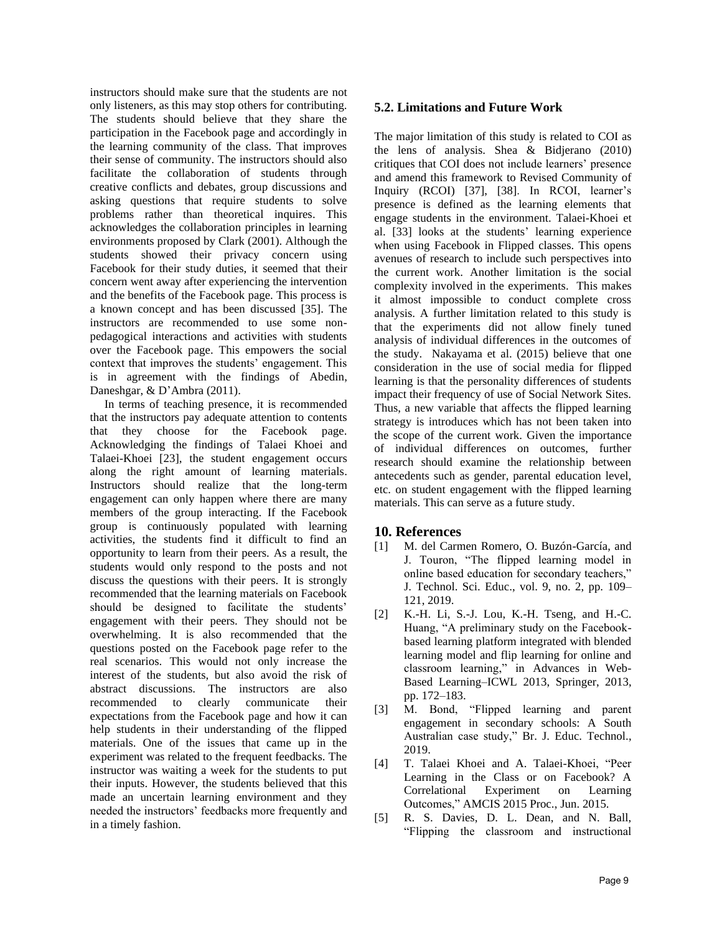instructors should make sure that the students are not only listeners, as this may stop others for contributing. The students should believe that they share the participation in the Facebook page and accordingly in the learning community of the class. That improves their sense of community. The instructors should also facilitate the collaboration of students through creative conflicts and debates, group discussions and asking questions that require students to solve problems rather than theoretical inquires. This acknowledges the collaboration principles in learning environments proposed by Clark (2001). Although the students showed their privacy concern using Facebook for their study duties, it seemed that their concern went away after experiencing the intervention and the benefits of the Facebook page. This process is a known concept and has been discussed [35]. The instructors are recommended to use some nonpedagogical interactions and activities with students over the Facebook page. This empowers the social context that improves the students' engagement. This is in agreement with the findings of Abedin, Daneshgar, & D'Ambra (2011).

In terms of teaching presence, it is recommended that the instructors pay adequate attention to contents that they choose for the Facebook page. Acknowledging the findings of Talaei Khoei and Talaei-Khoei [23], the student engagement occurs along the right amount of learning materials. Instructors should realize that the long-term engagement can only happen where there are many members of the group interacting. If the Facebook group is continuously populated with learning activities, the students find it difficult to find an opportunity to learn from their peers. As a result, the students would only respond to the posts and not discuss the questions with their peers. It is strongly recommended that the learning materials on Facebook should be designed to facilitate the students' engagement with their peers. They should not be overwhelming. It is also recommended that the questions posted on the Facebook page refer to the real scenarios. This would not only increase the interest of the students, but also avoid the risk of abstract discussions. The instructors are also recommended to clearly communicate their expectations from the Facebook page and how it can help students in their understanding of the flipped materials. One of the issues that came up in the experiment was related to the frequent feedbacks. The instructor was waiting a week for the students to put their inputs. However, the students believed that this made an uncertain learning environment and they needed the instructors' feedbacks more frequently and in a timely fashion.

### **5.2. Limitations and Future Work**

The major limitation of this study is related to COI as the lens of analysis. Shea & Bidjerano (2010) critiques that COI does not include learners' presence and amend this framework to Revised Community of Inquiry (RCOI) [37], [38]. In RCOI, learner's presence is defined as the learning elements that engage students in the environment. Talaei-Khoei et al. [33] looks at the students' learning experience when using Facebook in Flipped classes. This opens avenues of research to include such perspectives into the current work. Another limitation is the social complexity involved in the experiments. This makes it almost impossible to conduct complete cross analysis. A further limitation related to this study is that the experiments did not allow finely tuned analysis of individual differences in the outcomes of the study. Nakayama et al. (2015) believe that one consideration in the use of social media for flipped learning is that the personality differences of students impact their frequency of use of Social Network Sites. Thus, a new variable that affects the flipped learning strategy is introduces which has not been taken into the scope of the current work. Given the importance of individual differences on outcomes, further research should examine the relationship between antecedents such as gender, parental education level, etc. on student engagement with the flipped learning materials. This can serve as a future study.

### **10. References**

- [1] M. del Carmen Romero, O. Buzón-García, and J. Touron, "The flipped learning model in online based education for secondary teachers," J. Technol. Sci. Educ., vol. 9, no. 2, pp. 109– 121, 2019.
- [2] K.-H. Li, S.-J. Lou, K.-H. Tseng, and H.-C. Huang, "A preliminary study on the Facebookbased learning platform integrated with blended learning model and flip learning for online and classroom learning," in Advances in Web-Based Learning–ICWL 2013, Springer, 2013, pp. 172–183.
- [3] M. Bond, "Flipped learning and parent engagement in secondary schools: A South Australian case study," Br. J. Educ. Technol., 2019.
- [4] T. Talaei Khoei and A. Talaei-Khoei, "Peer Learning in the Class or on Facebook? A Correlational Experiment on Learning Outcomes," AMCIS 2015 Proc., Jun. 2015.
- [5] R. S. Davies, D. L. Dean, and N. Ball, "Flipping the classroom and instructional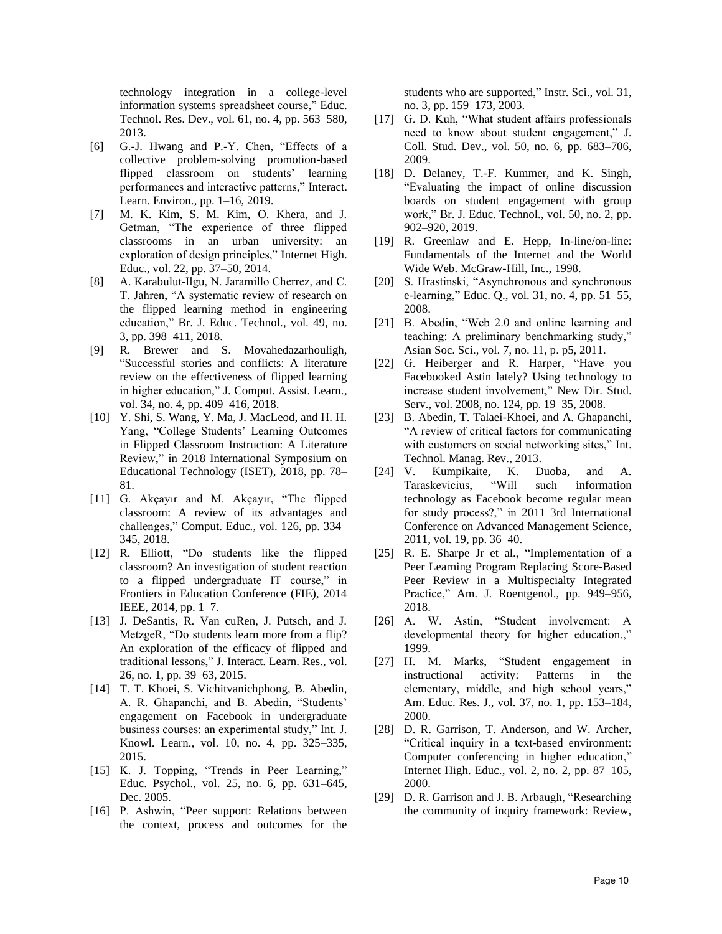technology integration in a college-level information systems spreadsheet course," Educ. Technol. Res. Dev., vol. 61, no. 4, pp. 563–580, 2013.

- [6] G.-J. Hwang and P.-Y. Chen, "Effects of a collective problem-solving promotion-based flipped classroom on students' learning performances and interactive patterns," Interact. Learn. Environ., pp. 1–16, 2019.
- [7] M. K. Kim, S. M. Kim, O. Khera, and J. Getman, "The experience of three flipped classrooms in an urban university: an exploration of design principles," Internet High. Educ., vol. 22, pp. 37–50, 2014.
- [8] A. Karabulut‐Ilgu, N. Jaramillo Cherrez, and C. T. Jahren, "A systematic review of research on the flipped learning method in engineering education," Br. J. Educ. Technol., vol. 49, no. 3, pp. 398–411, 2018.
- [9] R. Brewer and S. Movahedazarhouligh, "Successful stories and conflicts: A literature review on the effectiveness of flipped learning in higher education," J. Comput. Assist. Learn., vol. 34, no. 4, pp. 409–416, 2018.
- [10] Y. Shi, S. Wang, Y. Ma, J. MacLeod, and H. H. Yang, "College Students' Learning Outcomes in Flipped Classroom Instruction: A Literature Review," in 2018 International Symposium on Educational Technology (ISET), 2018, pp. 78– 81.
- [11] G. Akçayır and M. Akçayır, "The flipped classroom: A review of its advantages and challenges," Comput. Educ., vol. 126, pp. 334– 345, 2018.
- [12] R. Elliott, "Do students like the flipped classroom? An investigation of student reaction to a flipped undergraduate IT course," in Frontiers in Education Conference (FIE), 2014 IEEE, 2014, pp. 1–7.
- [13] J. DeSantis, R. Van cuRen, J. Putsch, and J. MetzgeR, "Do students learn more from a flip? An exploration of the efficacy of flipped and traditional lessons," J. Interact. Learn. Res., vol. 26, no. 1, pp. 39–63, 2015.
- [14] T. T. Khoei, S. Vichitvanichphong, B. Abedin, A. R. Ghapanchi, and B. Abedin, "Students' engagement on Facebook in undergraduate business courses: an experimental study," Int. J. Knowl. Learn., vol. 10, no. 4, pp. 325–335, 2015.
- [15] K. J. Topping, "Trends in Peer Learning," Educ. Psychol., vol. 25, no. 6, pp. 631–645, Dec. 2005.
- [16] P. Ashwin, "Peer support: Relations between the context, process and outcomes for the

students who are supported," Instr. Sci., vol. 31, no. 3, pp. 159–173, 2003.

- [17] G. D. Kuh, "What student affairs professionals need to know about student engagement," J. Coll. Stud. Dev., vol. 50, no. 6, pp. 683–706, 2009.
- [18] D. Delaney, T.-F. Kummer, and K. Singh, "Evaluating the impact of online discussion boards on student engagement with group work," Br. J. Educ. Technol., vol. 50, no. 2, pp. 902–920, 2019.
- [19] R. Greenlaw and E. Hepp, In-line/on-line: Fundamentals of the Internet and the World Wide Web. McGraw-Hill, Inc., 1998.
- [20] S. Hrastinski, "Asynchronous and synchronous e-learning," Educ. Q., vol. 31, no. 4, pp. 51–55, 2008.
- [21] B. Abedin, "Web 2.0 and online learning and teaching: A preliminary benchmarking study," Asian Soc. Sci., vol. 7, no. 11, p. p5, 2011.
- [22] G. Heiberger and R. Harper, "Have you Facebooked Astin lately? Using technology to increase student involvement," New Dir. Stud. Serv., vol. 2008, no. 124, pp. 19–35, 2008.
- [23] B. Abedin, T. Talaei-Khoei, and A. Ghapanchi, "A review of critical factors for communicating with customers on social networking sites," Int. Technol. Manag. Rev., 2013.
- [24] V. Kumpikaite, K. Duoba, and A. Taraskevicius, "Will such information technology as Facebook become regular mean for study process?," in 2011 3rd International Conference on Advanced Management Science, 2011, vol. 19, pp. 36–40.
- [25] R. E. Sharpe Jr et al., "Implementation of a Peer Learning Program Replacing Score-Based Peer Review in a Multispecialty Integrated Practice," Am. J. Roentgenol., pp. 949–956, 2018.
- [26] A. W. Astin, "Student involvement: A developmental theory for higher education.," 1999.
- [27] H. M. Marks, "Student engagement in instructional activity: Patterns in the elementary, middle, and high school years," Am. Educ. Res. J., vol. 37, no. 1, pp. 153–184, 2000.
- [28] D. R. Garrison, T. Anderson, and W. Archer, "Critical inquiry in a text-based environment: Computer conferencing in higher education," Internet High. Educ., vol. 2, no. 2, pp. 87–105, 2000.
- [29] D. R. Garrison and J. B. Arbaugh, "Researching the community of inquiry framework: Review,